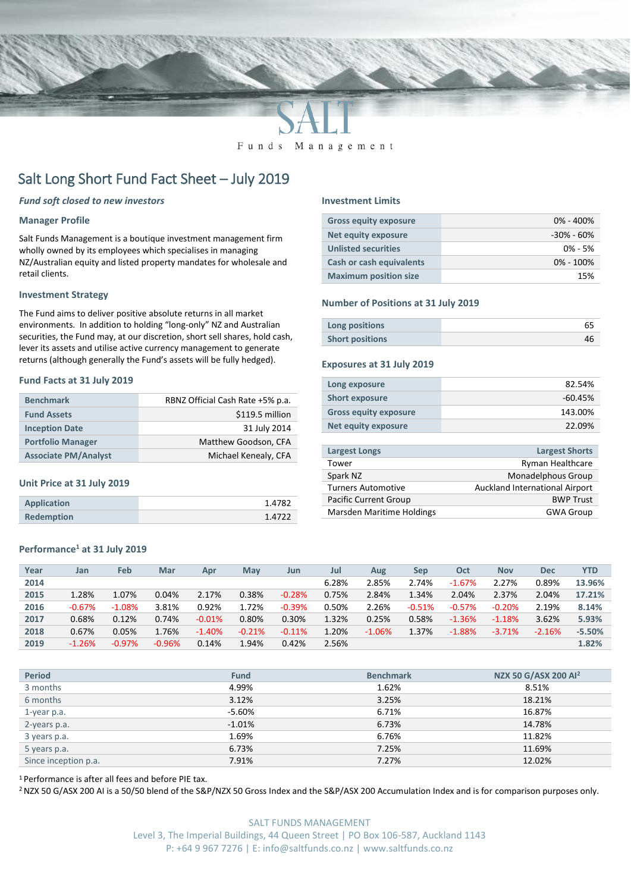

Funds Management

# Salt Long Short Fund Fact Sheet – July 2019

#### *Fund soft closed to new investors*

#### **Manager Profile**

Salt Funds Management is a boutique investment management firm wholly owned by its employees which specialises in managing NZ/Australian equity and listed property mandates for wholesale and retail clients.

#### **Investment Strategy**

The Fund aims to deliver positive absolute returns in all market environments. In addition to holding "long-only" NZ and Australian securities, the Fund may, at our discretion, short sell shares, hold cash, lever its assets and utilise active currency management to generate returns (although generally the Fund's assets will be fully hedged).

#### **Fund Facts at 31 July 2019**

| <b>Benchmark</b>            | RBNZ Official Cash Rate +5% p.a. |
|-----------------------------|----------------------------------|
| <b>Fund Assets</b>          | \$119.5 million                  |
| <b>Inception Date</b>       | 31 July 2014                     |
| <b>Portfolio Manager</b>    | Matthew Goodson, CFA             |
| <b>Associate PM/Analyst</b> | Michael Kenealy, CFA             |

#### **Unit Price at 31 July 2019**

| Application       | 1.4782 |
|-------------------|--------|
| <b>Redemption</b> | 1.4722 |

#### **Performance<sup>1</sup> at 31 July 2019**

#### **Year Jan Feb Mar Apr May Jun Jul Aug Sep Oct Nov Dec YTD 2014** 6.28% 2.85% 2.74% -1.67% 2.27% 0.89% **13.96% 2015** 1.28% 1.07% 0.04% 2.17% 0.38% -0.28% 0.75% 2.84% 1.34% 2.04% 2.37% 2.04% **17.21% 2016** -0.67% -1.08% 3.81% 0.92% 1.72% -0.39% 0.50% 2.26% -0.51% -0.57% -0.20% 2.19% **8.14% 2017** 0.68% 0.12% 0.74% -0.01% 0.80% 0.30% 1.32% 0.25% 0.58% -1.36% -1.18% 3.62% **5.93% 2018** 0.67% 0.05% 1.76% -1.40% -0.21% -0.11% 1.20% -1.06% 1.37% -1.88% -3.71% -2.16% **-5.50% 2019** -1.26% -0.97% -0.96% 0.14% 1.94% 0.42% 2.56% **1.82%**

| <b>Period</b>        | <b>Fund</b> | <b>Benchmark</b> | NZX 50 G/ASX 200 Al <sup>2</sup> |
|----------------------|-------------|------------------|----------------------------------|
| 3 months             | 4.99%       | 1.62%            | 8.51%                            |
| 6 months             | 3.12%       | 3.25%            | 18.21%                           |
| 1-year p.a.          | -5.60%      | 6.71%            | 16.87%                           |
| 2-years p.a.         | $-1.01%$    | 6.73%            | 14.78%                           |
| 3 years p.a.         | 1.69%       | 6.76%            | 11.82%                           |
| 5 years p.a.         | 6.73%       | 7.25%            | 11.69%                           |
| Since inception p.a. | 7.91%       | 7.27%            | 12.02%                           |

<sup>1</sup> Performance is after all fees and before PIE tax.

<sup>2</sup> NZX 50 G/ASX 200 AI is a 50/50 blend of the S&P/NZX 50 Gross Index and the S&P/ASX 200 Accumulation Index and is for comparison purposes only.

#### **Investment Limits**

| <b>Gross equity exposure</b>    | $0\% - 400\%$ |
|---------------------------------|---------------|
| Net equity exposure             | -30% - 60%    |
| <b>Unlisted securities</b>      | $0\% - 5\%$   |
| <b>Cash or cash equivalents</b> | $0\% - 100\%$ |
| <b>Maximum position size</b>    | 15%           |

#### **Number of Positions at 31 July 2019**

| Long positions         |  |
|------------------------|--|
| <b>Short positions</b> |  |

#### **Exposures at 31 July 2019**

| Long exposure                | 82.54%    |
|------------------------------|-----------|
| <b>Short exposure</b>        | $-60.45%$ |
| <b>Gross equity exposure</b> | 143.00%   |
| Net equity exposure          | 22.09%    |

| <b>Largest Longs</b>             | <b>Largest Shorts</b>          |
|----------------------------------|--------------------------------|
| Tower                            | Ryman Healthcare               |
| Spark NZ                         | Monadelphous Group             |
| <b>Turners Automotive</b>        | Auckland International Airport |
| <b>Pacific Current Group</b>     | <b>BWP Trust</b>               |
| <b>Marsden Maritime Holdings</b> | <b>GWA Group</b>               |
|                                  |                                |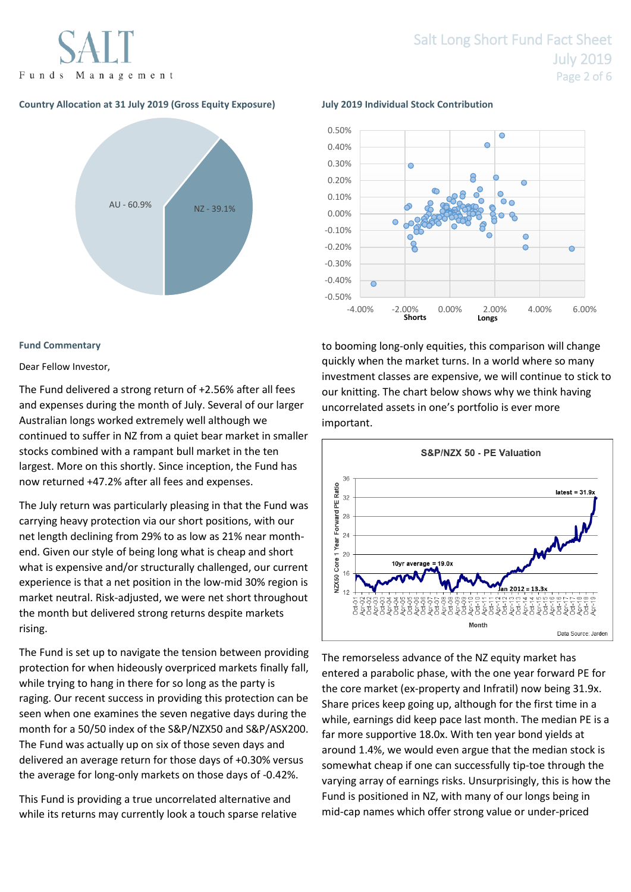Funds Management

### **Country Allocation at 31 July 2019 (Gross Equity Exposure) July 2019 Individual Stock Contribution**



#### **Fund Commentary**

#### Dear Fellow Investor,

The Fund delivered a strong return of +2.56% after all fees and expenses during the month of July. Several of our larger Australian longs worked extremely well although we continued to suffer in NZ from a quiet bear market in smaller stocks combined with a rampant bull market in the ten largest. More on this shortly. Since inception, the Fund has now returned +47.2% after all fees and expenses.

The July return was particularly pleasing in that the Fund was carrying heavy protection via our short positions, with our net length declining from 29% to as low as 21% near monthend. Given our style of being long what is cheap and short what is expensive and/or structurally challenged, our current experience is that a net position in the low-mid 30% region is market neutral. Risk-adjusted, we were net short throughout the month but delivered strong returns despite markets rising.

The Fund is set up to navigate the tension between providing protection for when hideously overpriced markets finally fall, while trying to hang in there for so long as the party is raging. Our recent success in providing this protection can be seen when one examines the seven negative days during the month for a 50/50 index of the S&P/NZX50 and S&P/ASX200. The Fund was actually up on six of those seven days and delivered an average return for those days of +0.30% versus the average for long-only markets on those days of -0.42%.

This Fund is providing a true uncorrelated alternative and while its returns may currently look a touch sparse relative



to booming long-only equities, this comparison will change quickly when the market turns. In a world where so many investment classes are expensive, we will continue to stick to our knitting. The chart below shows why we think having uncorrelated assets in one's portfolio is ever more important.



The remorseless advance of the NZ equity market has entered a parabolic phase, with the one year forward PE for the core market (ex-property and Infratil) now being 31.9x. Share prices keep going up, although for the first time in a while, earnings did keep pace last month. The median PE is a far more supportive 18.0x. With ten year bond yields at around 1.4%, we would even argue that the median stock is somewhat cheap if one can successfully tip-toe through the varying array of earnings risks. Unsurprisingly, this is how the Fund is positioned in NZ, with many of our longs being in mid-cap names which offer strong value or under-priced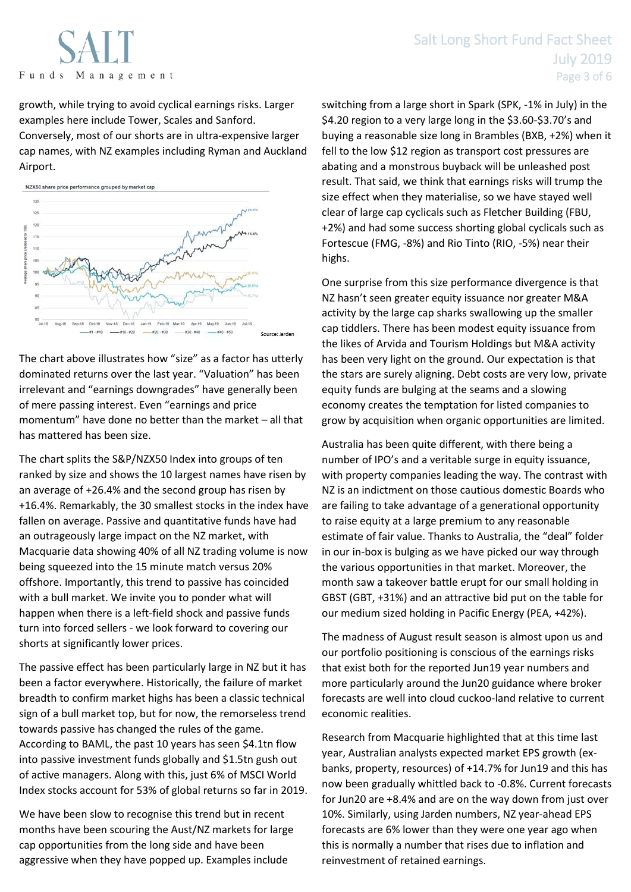Funds Management

growth, while trying to avoid cyclical earnings risks. Larger examples here include Tower, Scales and Sanford. Conversely, most of our shorts are in ultra-expensive larger cap names, with NZ examples including Ryman and Auckland Airport.



The chart above illustrates how "size" as a factor has utterly dominated returns over the last year. "Valuation" has been irrelevant and "earnings downgrades" have generally been of mere passing interest. Even "earnings and price momentum" have done no better than the market – all that has mattered has been size.

The chart splits the S&P/NZX50 Index into groups of ten ranked by size and shows the 10 largest names have risen by an average of +26.4% and the second group has risen by +16.4%. Remarkably, the 30 smallest stocks in the index have fallen on average. Passive and quantitative funds have had an outrageously large impact on the NZ market, with Macquarie data showing 40% of all NZ trading volume is now being squeezed into the 15 minute match versus 20% offshore. Importantly, this trend to passive has coincided with a bull market. We invite you to ponder what will happen when there is a left-field shock and passive funds turn into forced sellers - we look forward to covering our shorts at significantly lower prices.

The passive effect has been particularly large in NZ but it has been a factor everywhere. Historically, the failure of market breadth to confirm market highs has been a classic technical sign of a bull market top, but for now, the remorseless trend towards passive has changed the rules of the game. According to BAML, the past 10 years has seen \$4.1tn flow into passive investment funds globally and \$1.5tn gush out of active managers. Along with this, just 6% of MSCI World Index stocks account for 53% of global returns so far in 2019.

We have been slow to recognise this trend but in recent months have been scouring the Aust/NZ markets for large cap opportunities from the long side and have been aggressive when they have popped up. Examples include

switching from a large short in Spark (SPK, -1% in July) in the \$4.20 region to a very large long in the \$3.60-\$3.70's and buying a reasonable size long in Brambles (BXB, +2%) when it fell to the low \$12 region as transport cost pressures are abating and a monstrous buyback will be unleashed post result. That said, we think that earnings risks will trump the size effect when they materialise, so we have stayed well clear of large cap cyclicals such as Fletcher Building (FBU, +2%) and had some success shorting global cyclicals such as Fortescue (FMG, -8%) and Rio Tinto (RIO, -5%) near their highs.

One surprise from this size performance divergence is that NZ hasn't seen greater equity issuance nor greater M&A activity by the large cap sharks swallowing up the smaller cap tiddlers. There has been modest equity issuance from the likes of Arvida and Tourism Holdings but M&A activity has been very light on the ground. Our expectation is that the stars are surely aligning. Debt costs are very low, private equity funds are bulging at the seams and a slowing economy creates the temptation for listed companies to grow by acquisition when organic opportunities are limited.

Australia has been quite different, with there being a number of IPO's and a veritable surge in equity issuance, with property companies leading the way. The contrast with NZ is an indictment on those cautious domestic Boards who are failing to take advantage of a generational opportunity to raise equity at a large premium to any reasonable estimate of fair value. Thanks to Australia, the "deal" folder in our in-box is bulging as we have picked our way through the various opportunities in that market. Moreover, the month saw a takeover battle erupt for our small holding in GBST (GBT, +31%) and an attractive bid put on the table for our medium sized holding in Pacific Energy (PEA, +42%).

The madness of August result season is almost upon us and our portfolio positioning is conscious of the earnings risks that exist both for the reported Jun19 year numbers and more particularly around the Jun20 guidance where broker forecasts are well into cloud cuckoo-land relative to current economic realities.

Research from Macquarie highlighted that at this time last year, Australian analysts expected market EPS growth (exbanks, property, resources) of +14.7% for Jun19 and this has now been gradually whittled back to -0.8%. Current forecasts for Jun20 are +8.4% and are on the way down from just over 10%. Similarly, using Jarden numbers, NZ year-ahead EPS forecasts are 6% lower than they were one year ago when this is normally a number that rises due to inflation and reinvestment of retained earnings.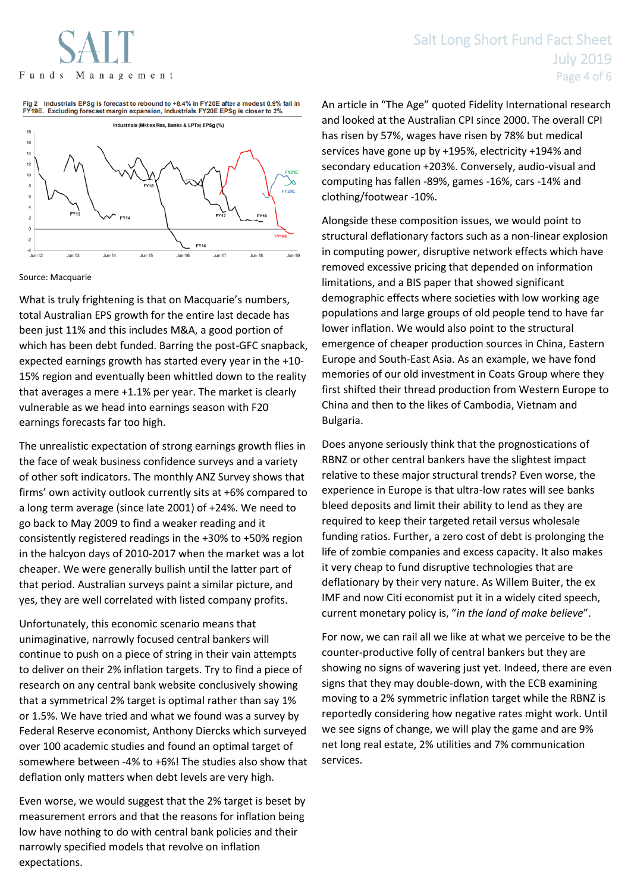Fig 2 Industrials EPSg is forecast to rebound to +8.4% in FY20E after a modest 0.9% fall in<br>FY19E. Excluding forecast margin expansion, Industrials FY20E EPSg is closer to 2%



Source: Macquarie

What is truly frightening is that on Macquarie's numbers, total Australian EPS growth for the entire last decade has been just 11% and this includes M&A, a good portion of which has been debt funded. Barring the post-GFC snapback, expected earnings growth has started every year in the +10- 15% region and eventually been whittled down to the reality that averages a mere +1.1% per year. The market is clearly vulnerable as we head into earnings season with F20 earnings forecasts far too high.

The unrealistic expectation of strong earnings growth flies in the face of weak business confidence surveys and a variety of other soft indicators. The monthly ANZ Survey shows that firms' own activity outlook currently sits at +6% compared to a long term average (since late 2001) of +24%. We need to go back to May 2009 to find a weaker reading and it consistently registered readings in the +30% to +50% region in the halcyon days of 2010-2017 when the market was a lot cheaper. We were generally bullish until the latter part of that period. Australian surveys paint a similar picture, and yes, they are well correlated with listed company profits.

Unfortunately, this economic scenario means that unimaginative, narrowly focused central bankers will continue to push on a piece of string in their vain attempts to deliver on their 2% inflation targets. Try to find a piece of research on any central bank website conclusively showing that a symmetrical 2% target is optimal rather than say 1% or 1.5%. We have tried and what we found was a survey by Federal Reserve economist, Anthony Diercks which surveyed over 100 academic studies and found an optimal target of somewhere between -4% to +6%! The studies also show that deflation only matters when debt levels are very high.

Even worse, we would suggest that the 2% target is beset by measurement errors and that the reasons for inflation being low have nothing to do with central bank policies and their narrowly specified models that revolve on inflation expectations.

An article in "The Age" quoted Fidelity International research and looked at the Australian CPI since 2000. The overall CPI has risen by 57%, wages have risen by 78% but medical services have gone up by +195%, electricity +194% and secondary education +203%. Conversely, audio-visual and computing has fallen -89%, games -16%, cars -14% and clothing/footwear -10%.

Alongside these composition issues, we would point to structural deflationary factors such as a non-linear explosion in computing power, disruptive network effects which have removed excessive pricing that depended on information limitations, and a BIS paper that showed significant demographic effects where societies with low working age populations and large groups of old people tend to have far lower inflation. We would also point to the structural emergence of cheaper production sources in China, Eastern Europe and South-East Asia. As an example, we have fond memories of our old investment in Coats Group where they first shifted their thread production from Western Europe to China and then to the likes of Cambodia, Vietnam and Bulgaria.

Does anyone seriously think that the prognostications of RBNZ or other central bankers have the slightest impact relative to these major structural trends? Even worse, the experience in Europe is that ultra-low rates will see banks bleed deposits and limit their ability to lend as they are required to keep their targeted retail versus wholesale funding ratios. Further, a zero cost of debt is prolonging the life of zombie companies and excess capacity. It also makes it very cheap to fund disruptive technologies that are deflationary by their very nature. As Willem Buiter, the ex IMF and now Citi economist put it in a widely cited speech, current monetary policy is, "*in the land of make believe*".

For now, we can rail all we like at what we perceive to be the counter-productive folly of central bankers but they are showing no signs of wavering just yet. Indeed, there are even signs that they may double-down, with the ECB examining moving to a 2% symmetric inflation target while the RBNZ is reportedly considering how negative rates might work. Until we see signs of change, we will play the game and are 9% net long real estate, 2% utilities and 7% communication services.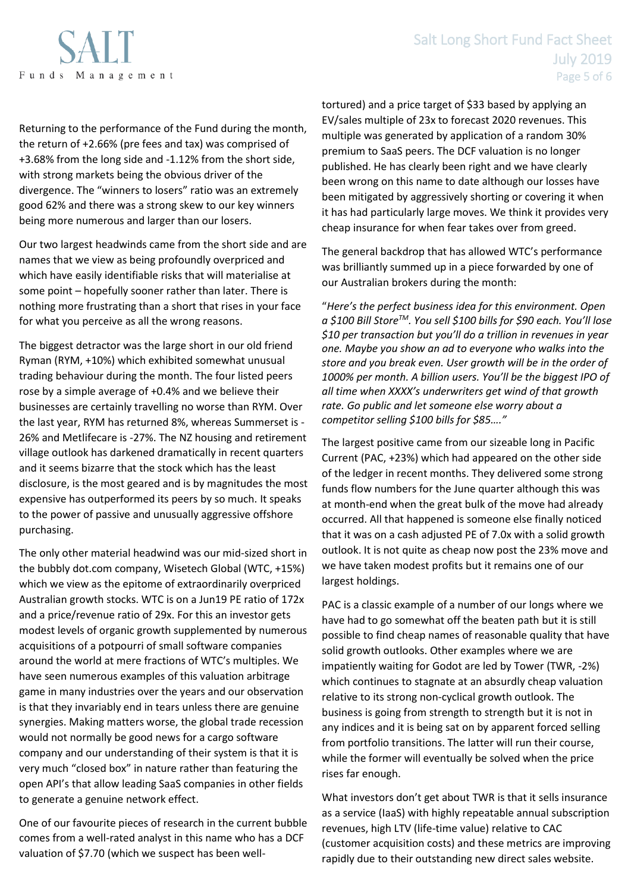

## Salt Long Short Fund Fact Sheet July 2019 Page 5 of 6

Returning to the performance of the Fund during the month, the return of +2.66% (pre fees and tax) was comprised of +3.68% from the long side and -1.12% from the short side, with strong markets being the obvious driver of the divergence. The "winners to losers" ratio was an extremely good 62% and there was a strong skew to our key winners being more numerous and larger than our losers.

Our two largest headwinds came from the short side and are names that we view as being profoundly overpriced and which have easily identifiable risks that will materialise at some point – hopefully sooner rather than later. There is nothing more frustrating than a short that rises in your face for what you perceive as all the wrong reasons.

The biggest detractor was the large short in our old friend Ryman (RYM, +10%) which exhibited somewhat unusual trading behaviour during the month. The four listed peers rose by a simple average of +0.4% and we believe their businesses are certainly travelling no worse than RYM. Over the last year, RYM has returned 8%, whereas Summerset is - 26% and Metlifecare is -27%. The NZ housing and retirement village outlook has darkened dramatically in recent quarters and it seems bizarre that the stock which has the least disclosure, is the most geared and is by magnitudes the most expensive has outperformed its peers by so much. It speaks to the power of passive and unusually aggressive offshore purchasing.

The only other material headwind was our mid-sized short in the bubbly dot.com company, Wisetech Global (WTC, +15%) which we view as the epitome of extraordinarily overpriced Australian growth stocks. WTC is on a Jun19 PE ratio of 172x and a price/revenue ratio of 29x. For this an investor gets modest levels of organic growth supplemented by numerous acquisitions of a potpourri of small software companies around the world at mere fractions of WTC's multiples. We have seen numerous examples of this valuation arbitrage game in many industries over the years and our observation is that they invariably end in tears unless there are genuine synergies. Making matters worse, the global trade recession would not normally be good news for a cargo software company and our understanding of their system is that it is very much "closed box" in nature rather than featuring the open API's that allow leading SaaS companies in other fields to generate a genuine network effect.

One of our favourite pieces of research in the current bubble comes from a well-rated analyst in this name who has a DCF valuation of \$7.70 (which we suspect has been welltortured) and a price target of \$33 based by applying an EV/sales multiple of 23x to forecast 2020 revenues. This multiple was generated by application of a random 30% premium to SaaS peers. The DCF valuation is no longer published. He has clearly been right and we have clearly been wrong on this name to date although our losses have been mitigated by aggressively shorting or covering it when it has had particularly large moves. We think it provides very cheap insurance for when fear takes over from greed.

The general backdrop that has allowed WTC's performance was brilliantly summed up in a piece forwarded by one of our Australian brokers during the month:

"*Here's the perfect business idea for this environment. Open a \$100 Bill StoreTM. You sell \$100 bills for \$90 each. You'll lose \$10 per transaction but you'll do a trillion in revenues in year one. Maybe you show an ad to everyone who walks into the store and you break even. User growth will be in the order of 1000% per month. A billion users. You'll be the biggest IPO of all time when XXXX's underwriters get wind of that growth rate. Go public and let someone else worry about a competitor selling \$100 bills for \$85…."*

The largest positive came from our sizeable long in Pacific Current (PAC, +23%) which had appeared on the other side of the ledger in recent months. They delivered some strong funds flow numbers for the June quarter although this was at month-end when the great bulk of the move had already occurred. All that happened is someone else finally noticed that it was on a cash adjusted PE of 7.0x with a solid growth outlook. It is not quite as cheap now post the 23% move and we have taken modest profits but it remains one of our largest holdings.

PAC is a classic example of a number of our longs where we have had to go somewhat off the beaten path but it is still possible to find cheap names of reasonable quality that have solid growth outlooks. Other examples where we are impatiently waiting for Godot are led by Tower (TWR, -2%) which continues to stagnate at an absurdly cheap valuation relative to its strong non-cyclical growth outlook. The business is going from strength to strength but it is not in any indices and it is being sat on by apparent forced selling from portfolio transitions. The latter will run their course, while the former will eventually be solved when the price rises far enough.

What investors don't get about TWR is that it sells insurance as a service (IaaS) with highly repeatable annual subscription revenues, high LTV (life-time value) relative to CAC (customer acquisition costs) and these metrics are improving rapidly due to their outstanding new direct sales website.